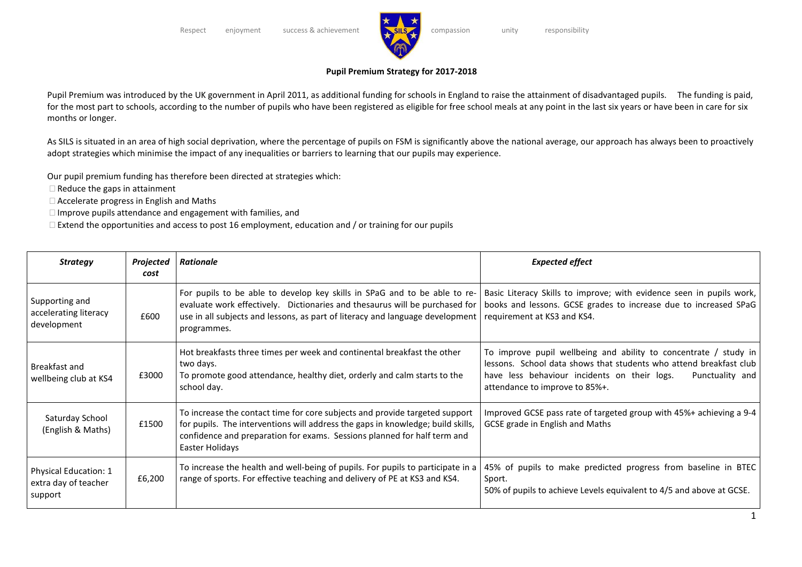

## **Pupil Premium Strategy for 2017-2018**

Pupil Premium was introduced by the UK government in April 2011, as additional funding for schools in England to raise the attainment of disadvantaged pupils. The funding is paid, for the most part to schools, according to the number of pupils who have been registered as eligible for free school meals at any point in the last six years or have been in care for six months or longer.

As SILS is situated in an area of high social deprivation, where the percentage of pupils on FSM is significantly above the national average, our approach has always been to proactively adopt strategies which minimise the impact of any inequalities or barriers to learning that our pupils may experience.

Our pupil premium funding has therefore been directed at strategies which:

 $\Box$  Reduce the gaps in attainment

Accelerate progress in English and Maths

 $\Box$  Improve pupils attendance and engagement with families, and

 $\Box$  Extend the opportunities and access to post 16 employment, education and / or training for our pupils

| <b>Strategy</b>                                                 | Projected<br>cost | <b>Rationale</b>                                                                                                                                                                                                                                              | <b>Expected effect</b>                                                                                                                                                                                                                      |
|-----------------------------------------------------------------|-------------------|---------------------------------------------------------------------------------------------------------------------------------------------------------------------------------------------------------------------------------------------------------------|---------------------------------------------------------------------------------------------------------------------------------------------------------------------------------------------------------------------------------------------|
| Supporting and<br>accelerating literacy<br>development          | £600              | For pupils to be able to develop key skills in SPaG and to be able to re-<br>evaluate work effectively. Dictionaries and thesaurus will be purchased for<br>use in all subjects and lessons, as part of literacy and language development<br>programmes.      | Basic Literacy Skills to improve; with evidence seen in pupils work,<br>books and lessons. GCSE grades to increase due to increased SPaG<br>requirement at KS3 and KS4.                                                                     |
| Breakfast and<br>wellbeing club at KS4                          | £3000             | Hot breakfasts three times per week and continental breakfast the other<br>two days.<br>To promote good attendance, healthy diet, orderly and calm starts to the<br>school day.                                                                               | To improve pupil wellbeing and ability to concentrate / study in<br>lessons. School data shows that students who attend breakfast club<br>Punctuality and<br>have less behaviour incidents on their logs.<br>attendance to improve to 85%+. |
| Saturday School<br>(English & Maths)                            | £1500             | To increase the contact time for core subjects and provide targeted support<br>for pupils. The interventions will address the gaps in knowledge; build skills,<br>confidence and preparation for exams. Sessions planned for half term and<br>Easter Holidays | Improved GCSE pass rate of targeted group with 45%+ achieving a 9-4<br>GCSE grade in English and Maths                                                                                                                                      |
| <b>Physical Education: 1</b><br>extra day of teacher<br>support | £6,200            | To increase the health and well-being of pupils. For pupils to participate in a<br>range of sports. For effective teaching and delivery of PE at KS3 and KS4.                                                                                                 | 45% of pupils to make predicted progress from baseline in BTEC<br>Sport.<br>50% of pupils to achieve Levels equivalent to 4/5 and above at GCSE.                                                                                            |